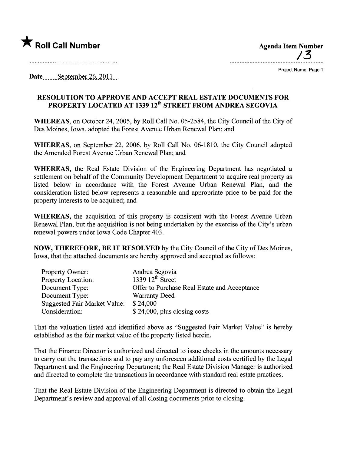

A Roll Call Number Agenda Item Number Agenda Item Number Agenda Item Number  $/3$ 

Project Name: Page 1

Date......... September 26, 2011...

## RESOLUTION TO APPROVE AND ACCEPT REAL ESTATE DOCUMENTS FOR PROPERTY LOCATED AT 1339 12<sup>th</sup> STREET FROM ANDREA SEGOVIA

WHEREAS, on October 24, 2005, by Roll Call No. 05-2584, the City Council of the City of Des Moines, Iowa, adopted the Forest Avenue Urban Renewal Plan; and

WHEREAS, on September 22, 2006, by Roll Call No. 06-1810, the City Council adopted the Amended Forest Avenue Urban Renewal Plan; and

WHEREAS, the Real Estate Division of the Engineering Department has negotiated a settlement on behalf of the Community Development Department to acquire real property as listed below in accordance with the Forest Avenue Urban Renewal Plan, and the consideration listed below represents a reasonable and appropriate price to be paid for the property interests to be acquired; and

WHEREAS, the acquisition of this property is consistent with the Forest Avenue Urban Renewal Plan, but the acquisition is not being undertaken by the exercise of the City's urban renewal powers under Iowa Code Chapter 403.

NOW, THEREFORE, BE IT RESOLVED by the City Council of the City of Des Moines, Iowa, that the attached documents are hereby approved and accepted as follows:

| <b>Property Owner:</b>       | Andrea Segovia                               |
|------------------------------|----------------------------------------------|
| Property Location:           | 1339 $12^{th}$ Street                        |
| Document Type:               | Offer to Purchase Real Estate and Acceptance |
| Document Type:               | <b>Warranty Deed</b>                         |
| Suggested Fair Market Value: | \$24,000                                     |
| Consideration:               | $$24,000$ , plus closing costs               |

That the valuation listed and identified above as "Suggested Fair Market Value" is hereby established as the fair market value of the property listed herein.

That the Finance Director is authorized and directed to issue checks in the amounts necessary to carry out the transactions and to pay any unforeseen additional costs certified by the Legal Deparment and the Engineering Department; the Real Estate Division Manager is authorized and directed to complete the transactions in accordance with standard real estate practices.

That the Real Estate Division of the Engineering Department is directed to obtain the Legal Department's review and approval of all closing documents prior to closing.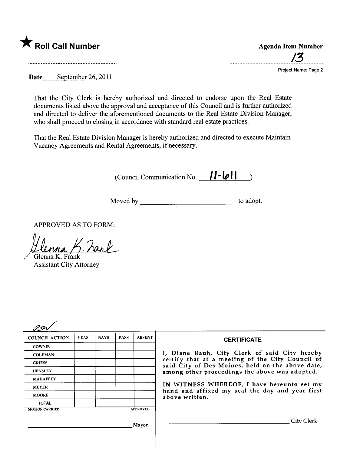

....................................../~............

Project Name: Page 2

Date  $S$ eptember 26, 2011

That the City Clerk is hereby authorized and directed to endorse upon the Real Estate documents listed above the approval and acceptance of this Council and is further authorized and directed to deliver the aforementioned documents to the Real Estate Division Manager, who shall proceed to closing in accordance with standard real estate practices.

That the Real Estate Division Manager is hereby authorized and directed to execute Maintain Vacancy Agreements and Rental Agreements, if necessary.

(Council Communication No. 11-011)

Moved by to adopt.

APPROVED AS TO FORM:

*Henna K* Zarl Glenna K. Frånk

Assistant City Attorney

| <b>COUNCIL ACTION</b> | <b>YEAS</b> | <b>NAYS</b> | <b>PASS</b> | <b>ABSENT</b>   | <b>CERTIFICATE</b>                                                                                   |
|-----------------------|-------------|-------------|-------------|-----------------|------------------------------------------------------------------------------------------------------|
| <b>COWNIE</b>         |             |             |             |                 |                                                                                                      |
| <b>COLEMAN</b>        |             |             |             |                 | I, Diane Rauh, City Clerk of said City hereby                                                        |
| <b>GRIESS</b>         |             |             |             |                 | certify that at a meeting of the City Council of<br>said City of Des Moines, held on the above date, |
| <b>HENSLEY</b>        |             |             |             |                 | among other proceedings the above was adopted.                                                       |
| <b>MAHAFFEY</b>       |             |             |             |                 |                                                                                                      |
| <b>MEYER</b>          |             |             |             |                 | IN WITNESS WHEREOF, I have hereunto set my<br>hand and affixed my seal the day and year first        |
| <b>MOORE</b>          |             |             |             |                 | above written.                                                                                       |
| <b>TOTAL</b>          |             |             |             |                 |                                                                                                      |
| <b>MOTION CARRIED</b> |             |             |             | <b>APPROVED</b> |                                                                                                      |
|                       |             |             |             | Mayor           | City Clerk                                                                                           |